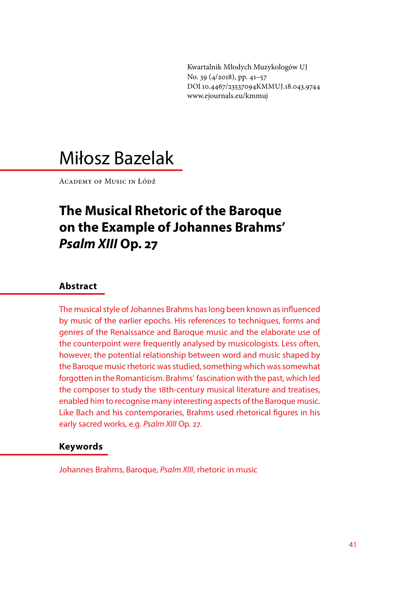Kwartalnik Młodych Muzykologów UJ No. 39 (4/2018), pp. 41–57 DOI 10.4467/23537094KMMUJ.18.043.9744 www.ejournals.eu/kmmuj

# Miłosz Bazelak

Academy of Music in Łódź

# **The Musical Rhetoric of the Baroque on the Example of Johannes Brahms'**  *Psalm XIII* **Op. 27**

#### **Abstract**

The musical style of Johannes Brahms has long been known as influenced by music of the earlier epochs. His references to techniques, forms and genres of the Renaissance and Baroque music and the elaborate use of the counterpoint were frequently analysed by musicologists. Less often, however, the potential relationship between word and music shaped by the Baroque music rhetoric was studied, something which was somewhat forgotten in the Romanticism. Brahms' fascination with the past, which led the composer to study the 18th-century musical literature and treatises, enabled him to recognise many interesting aspects of the Baroque music. Like Bach and his contemporaries, Brahms used rhetorical figures in his early sacred works, e.g. *Psalm XIII* Op. 27.

#### **Keywords**

Johannes Brahms, Baroque, *Psalm XIII*, rhetoric in music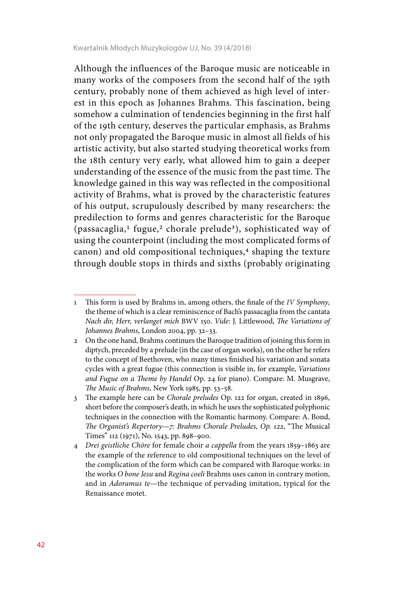Although the influences of the Baroque music are noticeable in many works of the composers from the second half of the 19th century, probably none of them achieved as high level of interest in this epoch as Johannes Brahms. This fascination, being somehow a culmination of tendencies beginning in the first half of the 19th century, deserves the particular emphasis, as Brahms not only propagated the Baroque music in almost all fields of his artistic activity, but also started studying theoretical works from the 18th century very early, what allowed him to gain a deeper understanding of the essence of the music from the past time. The knowledge gained in this way was reflected in the compositional activity of Brahms, what is proved by the characteristic features of his output, scrupulously described by many researchers: the predilection to forms and genres characteristic for the Baroque  $(p$ assacaglia,<sup>1</sup> fugue,<sup>2</sup> chorale prelude<sup>3</sup>), sophisticated way of using the counterpoint (including the most complicated forms of canon) and old compositional techniques,<sup>4</sup> shaping the texture through double stops in thirds and sixths (probably originating

<sup>1</sup> This form is used by Brahms in, among others, the finale of the *IV Symphony*, the theme of which is a clear reminiscence of Bach's passacaglia from the cantata *Nach dir, Herr, verlanget mich* BWV 150. *Vide*: J. Littlewood, *The Variations of Johannes Brahms*, London 2004, pp. 32–33.

<sup>2</sup> On the one hand, Brahms continues the Baroque tradition of joining this form in diptych, preceded by a prelude (in the case of organ works), on the other he refers to the concept of Beethoven, who many times finished his variation and sonata cycles with a great fugue (this connection is visible in, for example, *Variations and Fugue on a Theme by Handel* Op. 24 for piano). Compare: M. Musgrave, *The Music of Brahms*, New York 1985, pp. 53–58.

<sup>3</sup> The example here can be *Chorale preludes* Op. 122 for organ, created in 1896, short before the composer's death, in which he uses the sophisticated polyphonic techniques in the connection with the Romantic harmony. Compare: A. Bond, *The Organist's Repertory—7: Brahms Chorale Preludes, Op. 122*, "The Musical Times" 112 (1971), No. 1543, pp. 898–900.

<sup>4</sup> *Drei geistliche Chöre* for female choir *a cappella* from the years 1859–1863 are the example of the reference to old compositional techniques on the level of the complication of the form which can be compared with Baroque works: in the works *O bone Jesu* and *Regina coeli* Brahms uses canon in contrary motion, and in *Adoramus te*—the technique of pervading imitation, typical for the Renaissance motet.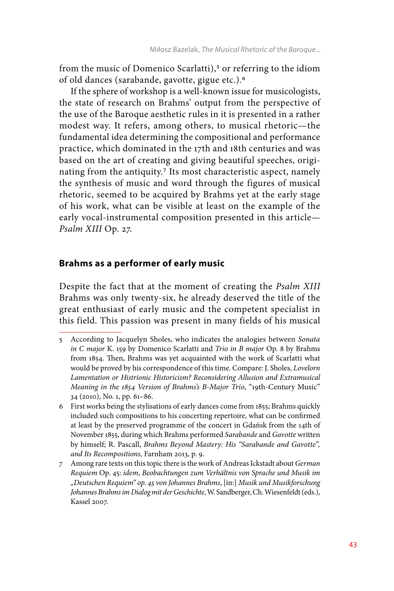from the music of Domenico Scarlatti),<sup>5</sup> or referring to the idiom of old dances (sarabande, gavotte, gigue etc.).6

If the sphere of workshop is a well-known issue for musicologists, the state of research on Brahms' output from the perspective of the use of the Baroque aesthetic rules in it is presented in a rather modest way. It refers, among others, to musical rhetoric—the fundamental idea determining the compositional and performance practice, which dominated in the 17th and 18th centuries and was based on the art of creating and giving beautiful speeches, originating from the antiquity.7 Its most characteristic aspect, namely the synthesis of music and word through the figures of musical rhetoric, seemed to be acquired by Brahms yet at the early stage of his work, what can be visible at least on the example of the early vocal-instrumental composition presented in this article— *Psalm XIII* Op. 27.

### **Brahms as a performer of early music**

Despite the fact that at the moment of creating the *Psalm XIII*  Brahms was only twenty-six, he already deserved the title of the great enthusiast of early music and the competent specialist in this field. This passion was present in many fields of his musical

<sup>5</sup> According to Jacquelyn Sholes, who indicates the analogies between *Sonata in C major* K. 159 by Domenico Scarlatti and *Trio in B major* Op. 8 by Brahms from 1854. Then, Brahms was yet acquainted with the work of Scarlatti what would be proved by his correspondence of this time. Compare: J. Sholes, *Lovelorn Lamentation or Histrionic Historicism? Reconsidering Allusion and Extramusical Meaning in the 1854 Version of Brahms's B-Major Trio*, "19th-Century Music" 34 (2010), No. 1, pp. 61–86.

<sup>6</sup> First works being the stylisations of early dances come from 1855; Brahms quickly included such compositions to his concerting repertoire, what can be confirmed at least by the preserved programme of the concert in Gdańsk from the 14th of November 1855, during which Brahms performed *Sarabande* and *Gavotte* written by himself; R. Pascall, *Brahms Beyond Mastery: His "Sarabande and Gavotte", and Its Recompositions,* Farnham 2013, p. 9.

<sup>7</sup> Among rare texts on this topic there is the work of Andreas Ickstadt about *German Requiem* Op. 45: *idem*, *Beobachtungen zum Verhältnis von Sprache und Musik im "Deutschen Requiem" op. 45 von Johannes Brahms*, [in:] *Musik und Musikforschung Johannes Brahms im Dialog mit der Geschichte*, W. Sandberger, Ch. Wiesenfeldt (eds.), Kassel 2007.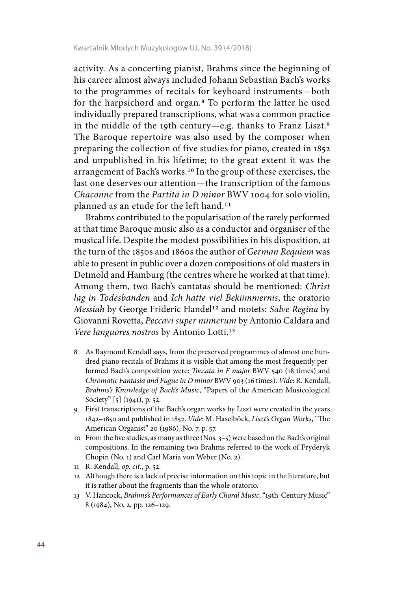activity. As a concerting pianist, Brahms since the beginning of his career almost always included Johann Sebastian Bach's works to the programmes of recitals for keyboard instruments—both for the harpsichord and organ.8 To perform the latter he used individually prepared transcriptions, what was a common practice in the middle of the 19th century—e.g. thanks to Franz Liszt.9 The Baroque repertoire was also used by the composer when preparing the collection of five studies for piano, created in 1852 and unpublished in his lifetime; to the great extent it was the arrangement of Bach's works.10 In the group of these exercises, the last one deserves our attention—the transcription of the famous *Chaconne* from the *Partita in D minor* BWV 1004 for solo violin, planned as an etude for the left hand.11

Brahms contributed to the popularisation of the rarely performed at that time Baroque music also as a conductor and organiser of the musical life. Despite the modest possibilities in his disposition, at the turn of the 1850s and 1860s the author of *German Requiem* was able to present in public over a dozen compositions of old masters in Detmold and Hamburg (the centres where he worked at that time). Among them, two Bach's cantatas should be mentioned: *Christ lag in Todesbanden* and *Ich hatte viel Bekümmernis*, the oratorio *Messiah* by George Frideric Handel12 and motets: *Salve Regina* by Giovanni Rovetta, *Peccavi super numerum* by Antonio Caldara and *Vere languores nostros* by Antonio Lotti.13

<sup>8</sup> As Raymond Kendall says, from the preserved programmes of almost one hundred piano recitals of Brahms it is visible that among the most frequently performed Bach's composition were: *Toccata in F major* BWV 540 (18 times) and *Chromatic Fantasia and Fugue in D minor* BWV 903 (16 times). *Vide*: R. Kendall, *Brahms's Knowledge of Bach's Music*, "Papers of the American Musicological Society" [5] (1941), p. 52.

<sup>9</sup> First transcriptions of the Bach's organ works by Liszt were created in the years 1842–1850 and published in 1852. *Vide*: M. Haselböck, *Liszt's Organ Works*, "The American Organist" 20 (1986), No. 7, p. 57.

<sup>10</sup> From the five studies, as many as three (Nos. 3–5) were based on the Bach's original compositions. In the remaining two Brahms referred to the work of Fryderyk Chopin (No. 1) and Carl Maria von Weber (No. 2).

<sup>11</sup> R. Kendall, *op. cit*., p. 52.

<sup>12</sup> Although there is a lack of precise information on this topic in the literature, but it is rather about the fragments than the whole oratorio.

<sup>13</sup> V. Hancock, *Brahms's Performances of Early Choral Music*, "19th-Century Music" 8 (1984), No. 2, pp. 126–129.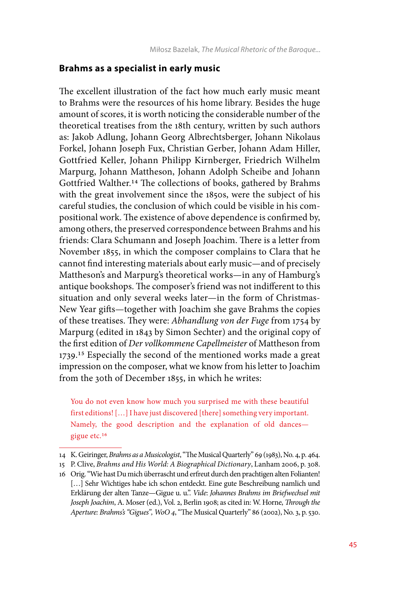#### **Brahms as a specialist in early music**

The excellent illustration of the fact how much early music meant to Brahms were the resources of his home library. Besides the huge amount of scores, it is worth noticing the considerable number of the theoretical treatises from the 18th century, written by such authors as: Jakob Adlung, Johann Georg Albrechtsberger, Johann Nikolaus Forkel, Johann Joseph Fux, Christian Gerber, Johann Adam Hiller, Gottfried Keller, Johann Philipp Kirnberger, Friedrich Wilhelm Marpurg, Johann Mattheson, Johann Adolph Scheibe and Johann Gottfried Walther.14 The collections of books, gathered by Brahms with the great involvement since the 1850s, were the subject of his careful studies, the conclusion of which could be visible in his compositional work. The existence of above dependence is confirmed by, among others, the preserved correspondence between Brahms and his friends: Clara Schumann and Joseph Joachim. There is a letter from November 1855, in which the composer complains to Clara that he cannot find interesting materials about early music—and of precisely Mattheson's and Marpurg's theoretical works—in any of Hamburg's antique bookshops. The composer's friend was not indifferent to this situation and only several weeks later—in the form of Christmas-New Year gifts—together with Joachim she gave Brahms the copies of these treatises. They were: *Abhandlung von der Fuge* from 1754 by Marpurg (edited in 1843 by Simon Sechter) and the original copy of the first edition of *Der vollkommene Capellmeister* of Mattheson from 1739.15 Especially the second of the mentioned works made a great impression on the composer, what we know from his letter to Joachim from the 30th of December 1855, in which he writes:

You do not even know how much you surprised me with these beautiful first editions! […] I have just discovered [there] something very important. Namely, the good description and the explanation of old dances gigue etc.16

<sup>14</sup> K. Geiringer, *Brahms as a Musicologist*, "The Musical Quarterly" 69 (1983), No. 4, p. 464.

<sup>15</sup> P. Clive, *Brahms and His World: A Biographical Dictionary*, Lanham 2006, p. 308.

<sup>16</sup> Orig. "Wie hast Du mich überrascht und erfreut durch den prachtigen alten Folianten! [...] Sehr Wichtiges habe ich schon entdeckt. Eine gute Beschreibung namlich und Erklärung der alten Tanze—Gigue u. u.". *Vide*: *Johannes Brahms im Briefwechsel mit Joseph Joachim*, A. Moser (ed.), Vol. 2, Berlin 1908; as cited in: W. Horne, *Through the Aperture: Brahms's "Gigues", WoO 4*, "The Musical Quarterly" 86 (2002), No. 3, p. 530.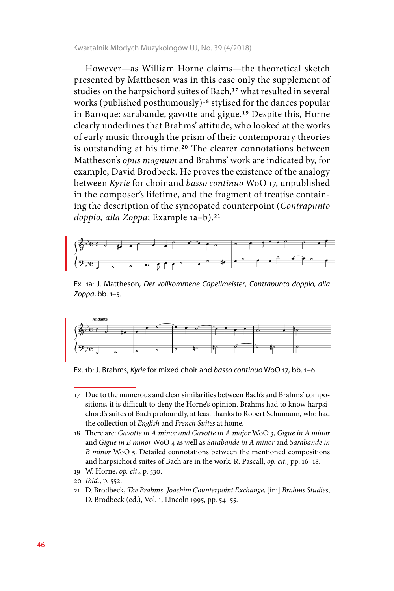However—as William Horne claims—the theoretical sketch presented by Mattheson was in this case only the supplement of studies on the harpsichord suites of Bach,<sup>17</sup> what resulted in several works (published posthumously)18 stylised for the dances popular in Baroque: sarabande, gavotte and gigue.19 Despite this, Horne clearly underlines that Brahms' attitude, who looked at the works of early music through the prism of their contemporary theories is outstanding at his time.<sup>20</sup> The clearer connotations between Mattheson's *opus magnum* and Brahms' work are indicated by, for example, David Brodbeck. He proves the existence of the analogy between *Kyrie* for choir and *basso continuo* WoO 17, unpublished in the composer's lifetime, and the fragment of treatise containing the description of the syncopated counterpoint (*Contrapunto doppio, alla Zoppa*; Example 1a–b).21



Ex. 1a: J. Mattheson, *Der vollkommene Capellmeister*, *Contrapunto doppio, alla Zoppa*, bb. 1–5.



Ex. 1b: J. Brahms, *Kyrie* for mixed choir and *basso continuo* WoO 17, bb. 1–6.

- 18 There are: *Gavotte in A minor and Gavotte in A major* WoO 3, *Gigue in A minor*  and *Gigue in B minor* WoO 4 as well as *Sarabande in A minor* and *Sarabande in B minor* WoO 5. Detailed connotations between the mentioned compositions and harpsichord suites of Bach are in the work: R. Pascall, *op. cit*., pp. 16–18.
- 19 W. Horne, *op. cit*., p. 530.
- 20 *Ibid.*, p. 552.
- 21 D. Brodbeck, *The Brahms–Joachim Counterpoint Exchange*, [in:] *Brahms Studies*, D. Brodbeck (ed.), Vol. 1, Lincoln 1995, pp. 54–55.

<sup>17</sup> Due to the numerous and clear similarities between Bach's and Brahms' compositions, it is difficult to deny the Horne's opinion. Brahms had to know harpsichord's suites of Bach profoundly, at least thanks to Robert Schumann, who had the collection of *English* and *French Suites* at home.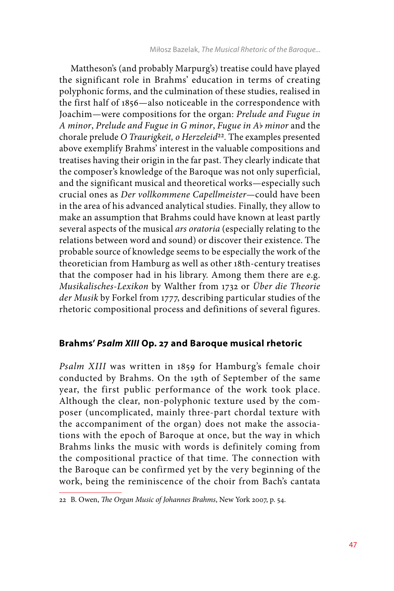Mattheson's (and probably Marpurg's) treatise could have played the significant role in Brahms' education in terms of creating polyphonic forms, and the culmination of these studies, realised in the first half of 1856—also noticeable in the correspondence with Joachim—were compositions for the organ: *Prelude and Fugue in A minor*, *Prelude and Fugue in G minor*, *Fugue in A*b *minor* and the chorale prelude *O Traurigkeit, o Herzeleid*<sup>22</sup>. The examples presented above exemplify Brahms' interest in the valuable compositions and treatises having their origin in the far past. They clearly indicate that the composer's knowledge of the Baroque was not only superficial, and the significant musical and theoretical works—especially such crucial ones as *Der vollkommene Capellmeister—*could have been in the area of his advanced analytical studies. Finally, they allow to make an assumption that Brahms could have known at least partly several aspects of the musical *ars oratoria* (especially relating to the relations between word and sound) or discover their existence. The probable source of knowledge seems to be especially the work of the theoretician from Hamburg as well as other 18th-century treatises that the composer had in his library. Among them there are e.g. *Musikalisches-Lexikon* by Walther from 1732 or *Über die Theorie der Musik* by Forkel from 1777, describing particular studies of the rhetoric compositional process and definitions of several figures.

# **Brahms'** *Psalm XIII* **Op. 27 and Baroque musical rhetoric**

*Psalm XIII* was written in 1859 for Hamburg's female choir conducted by Brahms. On the 19th of September of the same year, the first public performance of the work took place. Although the clear, non-polyphonic texture used by the composer (uncomplicated, mainly three-part chordal texture with the accompaniment of the organ) does not make the associations with the epoch of Baroque at once, but the way in which Brahms links the music with words is definitely coming from the compositional practice of that time. The connection with the Baroque can be confirmed yet by the very beginning of the work, being the reminiscence of the choir from Bach's cantata

<sup>22</sup> B. Owen, *The Organ Music of Johannes Brahms*, New York 2007, p. 54.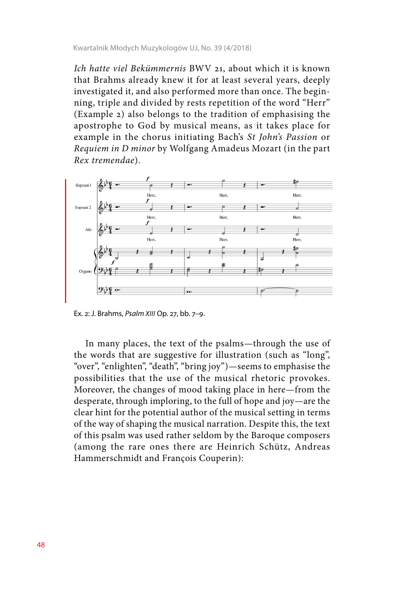*Ich hatte viel Bekümmernis* BWV 21, about which it is known that Brahms already knew it for at least several years, deeply investigated it, and also performed more than once. The beginning, triple and divided by rests repetition of the word "Herr" (Example 2) also belongs to the tradition of emphasising the apostrophe to God by musical means, as it takes place for example in the chorus initiating Bach's *St John's Passion* or *Requiem in D minor* by Wolfgang Amadeus Mozart (in the part *Rex tremendae*).



Ex. 2: J. Brahms, *Psalm XIII* Op. 27, bb. 7–9.

In many places, the text of the psalms—through the use of the words that are suggestive for illustration (such as "long", "over", "enlighten", "death", "bring joy")—seems to emphasise the possibilities that the use of the musical rhetoric provokes. Moreover, the changes of mood taking place in here—from the desperate, through imploring, to the full of hope and joy—are the clear hint for the potential author of the musical setting in terms of the way of shaping the musical narration. Despite this, the text of this psalm was used rather seldom by the Baroque composers (among the rare ones there are Heinrich Schütz, Andreas Hammerschmidt and François Couperin):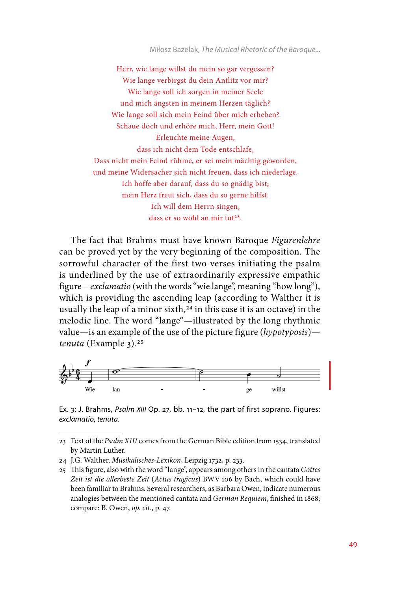Miłosz Bazelak, *The Musical Rhetoric of the Baroque...*

Herr, wie lange willst du mein so gar vergessen? Wie lange verbirgst du dein Antlitz vor mir? Wie lange soll ich sorgen in meiner Seele und mich ängsten in meinem Herzen täglich? Wie lange soll sich mein Feind über mich erheben? Schaue doch und erhöre mich, Herr, mein Gott! Erleuchte meine Augen, dass ich nicht dem Tode entschlafe, Dass nicht mein Feind rühme, er sei mein mächtig geworden, und meine Widersacher sich nicht freuen, dass ich niederlage. Ich hoffe aber darauf, dass du so gnädig bist; mein Herz freut sich, dass du so gerne hilfst. Ich will dem Herrn singen, dass er so wohl an mir tut<sup>23</sup>.

The fact that Brahms must have known Baroque *Figurenlehre* can be proved yet by the very beginning of the composition. The sorrowful character of the first two verses initiating the psalm is underlined by the use of extraordinarily expressive empathic figure—*exclamatio* (with the words "wie lange", meaning "how long"), which is providing the ascending leap (according to Walther it is usually the leap of a minor sixth, $24$  in this case it is an octave) in the melodic line. The word "lange"—illustrated by the long rhythmic value—is an example of the use of the picture figure (*hypotyposis*) *tenuta* (Example 3).25



Ex. 3: J. Brahms, *Psalm XIII* Op. 27, bb. 11–12, the part of first soprano. Figures: *exclamatio*, *tenuta*.

<sup>23</sup> Text of the *Psalm XIII* comes from the German Bible edition from 1534, translated by Martin Luther.

<sup>24</sup> J.G. Walther, *Musikalisches-Lexikon*, Leipzig 1732, p. 233.

<sup>25</sup> This figure, also with the word "lange", appears among others in the cantata *Gottes Zeit ist die allerbeste Zeit* (*Actus tragicus*) BWV 106 by Bach, which could have been familiar to Brahms. Several researchers, as Barbara Owen, indicate numerous analogies between the mentioned cantata and *German Requiem*, finished in 1868; compare: B. Owen, *op. cit*., p. 47.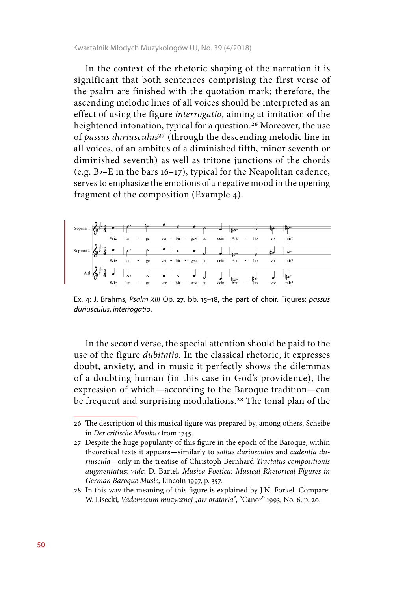In the context of the rhetoric shaping of the narration it is significant that both sentences comprising the first verse of the psalm are finished with the quotation mark; therefore, the ascending melodic lines of all voices should be interpreted as an effect of using the figure *interrogatio*, aiming at imitation of the heightened intonation, typical for a question.26 Moreover, the use of *passus duriusculus*27 (through the descending melodic line in all voices, of an ambitus of a diminished fifth, minor seventh or diminished seventh) as well as tritone junctions of the chords (e.g. Bb–E in the bars 16–17), typical for the Neapolitan cadence, serves to emphasize the emotions of a negative mood in the opening fragment of the composition (Example 4).



Ex. 4: J. Brahms, *Psalm XIII* Op. 27, bb. 15–18, the part of choir. Figures: *passus duriusculus*, *interrogatio*.

In the second verse, the special attention should be paid to the use of the figure *dubitatio.* In the classical rhetoric, it expresses doubt, anxiety, and in music it perfectly shows the dilemmas of a doubting human (in this case in God's providence), the expression of which—according to the Baroque tradition—can be frequent and surprising modulations.<sup>28</sup> The tonal plan of the

<sup>26</sup> The description of this musical figure was prepared by, among others, Scheibe in *Der critische Musikus* from 1745.

<sup>27</sup> Despite the huge popularity of this figure in the epoch of the Baroque, within theoretical texts it appears—similarly to *saltus duriusculus* and *cadentia duriuscula—*only in the treatise of Christoph Bernhard *Tractatus compositionis augmentatus*; *vide*: D. Bartel, *Musica Poetica: Musical-Rhetorical Figures in German Baroque Music*, Lincoln 1997, p. 357.

<sup>28</sup> In this way the meaning of this figure is explained by J.N. Forkel. Compare: W. Lisecki, *Vademecum muzycznej "ars oratoria"*, "Canor" 1993, No. 6, p. 20.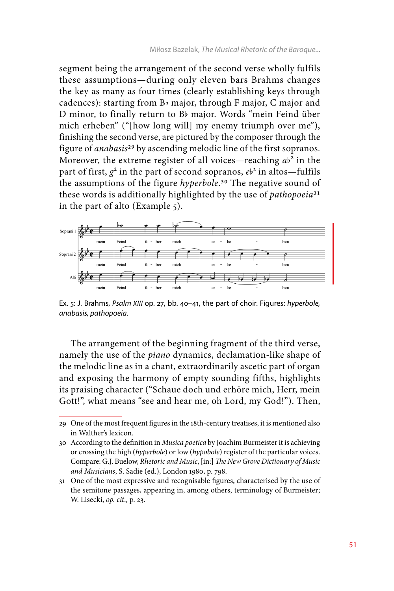segment being the arrangement of the second verse wholly fulfils these assumptions—during only eleven bars Brahms changes the key as many as four times (clearly establishing keys through cadences): starting from Bb major, through F major, C major and D minor, to finally return to Bb major. Words "mein Feind über mich erheben" ("[how long will] my enemy triumph over me"), finishing the second verse, are pictured by the composer through the figure of *anabasis*29 by ascending melodic line of the first sopranos. Moreover, the extreme register of all voices—reaching  $ab^2$  in the part of first,  $g^2$  in the part of second sopranos,  $e^{b^2}$  in altos—fulfils the assumptions of the figure *hyperbole*.30 The negative sound of these words is additionally highlighted by the use of *pathopoeia*31 in the part of alto (Example 5).



Ex. 5: J. Brahms, *Psalm XIII* op. 27, bb. 40–41, the part of choir. Figures: *hyperbole, anabasis, pathopoeia*.

The arrangement of the beginning fragment of the third verse, namely the use of the *piano* dynamics, declamation-like shape of the melodic line as in a chant, extraordinarily ascetic part of organ and exposing the harmony of empty sounding fifths, highlights its praising character ("Schaue doch und erhöre mich, Herr, mein Gott!", what means "see and hear me, oh Lord, my God!"). Then,

<sup>29</sup> One of the most frequent figures in the 18th-century treatises, it is mentioned also in Walther's lexicon.

<sup>30</sup> According to the definition in *Musica poetica* by Joachim Burmeister it is achieving or crossing the high (*hyperbole*) or low (*hypobole*) register of the particular voices. Compare: G.J. Buelow, *Rhetoric and Music*, [in:] *The New Grove Dictionary of Music and Musicians*, S. Sadie (ed.), London 1980, p. 798.

<sup>31</sup> One of the most expressive and recognisable figures, characterised by the use of the semitone passages, appearing in, among others, terminology of Burmeister; W. Lisecki, *op. cit*., p. 23.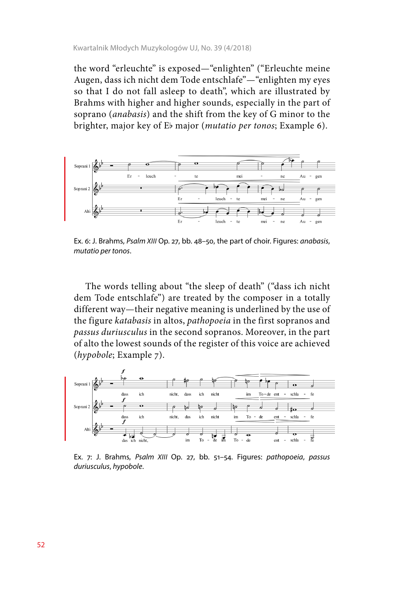the word "erleuchte" is exposed—"enlighten" ("Erleuchte meine Augen, dass ich nicht dem Tode entschlafe"—"enlighten my eyes so that I do not fall asleep to death", which are illustrated by Brahms with higher and higher sounds, especially in the part of soprano (*anabasis*) and the shift from the key of G minor to the brighter, major key of Eb major (*mutatio per tonos*; Example 6).



Ex. 6: J. Brahms, *Psalm XIII* Op. 27, bb. 48–50, the part of choir. Figures: *anabasis*, *mutatio per tonos*.

The words telling about "the sleep of death" ("dass ich nicht dem Tode entschlafe") are treated by the composer in a totally different way—their negative meaning is underlined by the use of the figure *katabasis* in altos, *pathopoeia* in the first sopranos and *passus duriusculus* in the second sopranos. Moreover, in the part of alto the lowest sounds of the register of this voice are achieved (*hypobole*; Example 7).



Ex. 7: J. Brahms, *Psalm XIII* Op. 27, bb. 51–54. Figures: *pathopoeia*, *passus duriusculus*, *hypobole*.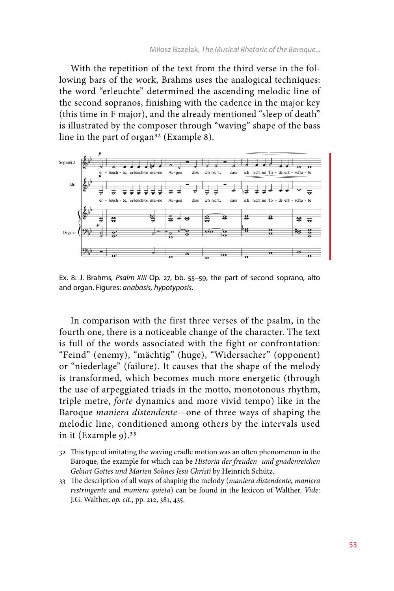With the repetition of the text from the third verse in the following bars of the work, Brahms uses the analogical techniques: the word "erleuchte" determined the ascending melodic line of the second sopranos, finishing with the cadence in the major key (this time in F major), and the already mentioned "sleep of death" is illustrated by the composer through "waving" shape of the bass line in the part of organ<sup>32</sup> (Example 8).



Ex. 8: J. Brahms, *Psalm XIII* Op. 27, bb. 55–59, the part of second soprano, alto and organ. Figures: *anabasis, hypotyposis*.

In comparison with the first three verses of the psalm, in the fourth one, there is a noticeable change of the character. The text is full of the words associated with the fight or confrontation: "Feind" (enemy), "mächtig" (huge), "Widersacher" (opponent) or "niederlage" (failure). It causes that the shape of the melody is transformed, which becomes much more energetic (through the use of arpeggiated triads in the motto, monotonous rhythm, triple metre, *forte* dynamics and more vivid tempo) like in the Baroque *maniera distendente*—one of three ways of shaping the melodic line, conditioned among others by the intervals used in it (Example  $9$ ).<sup>33</sup>

<sup>32</sup> This type of imitating the waving cradle motion was an often phenomenon in the Baroque, the example for which can be *Historia der freuden- und gnadenreichen Geburt Gottes und Marien Sohnes Jesu Christi* by Heinrich Schütz.

<sup>33</sup> The description of all ways of shaping the melody (*maniera distendente*, *maniera restringente* and *maniera quieta*) can be found in the lexicon of Walther. *Vide*: J.G. Walther, *op. cit*., pp. 212, 381, 435.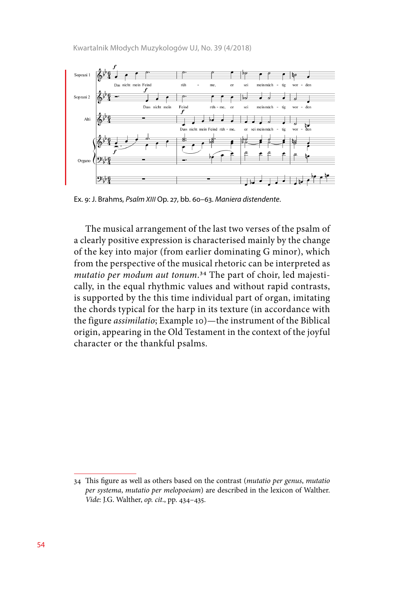Kwartalnik Młodych Muzykologów UJ, No. 39 (4/2018)



Ex. 9: J. Brahms, *Psalm XIII* Op. 27, bb. 60–63. *Maniera distendente*.

The musical arrangement of the last two verses of the psalm of a clearly positive expression is characterised mainly by the change of the key into major (from earlier dominating G minor), which from the perspective of the musical rhetoric can be interpreted as *mutatio per modum aut tonum*.34 The part of choir, led majestically, in the equal rhythmic values and without rapid contrasts, is supported by the this time individual part of organ, imitating the chords typical for the harp in its texture (in accordance with the figure *assimilatio*; Example 10)—the instrument of the Biblical origin, appearing in the Old Testament in the context of the joyful character or the thankful psalms.

<sup>34</sup> This figure as well as others based on the contrast (*mutatio per genus*, *mutatio per systema*, *mutatio per melopoeiam*) are described in the lexicon of Walther. *Vide*: J.G. Walther, *op. cit*., pp. 434–435.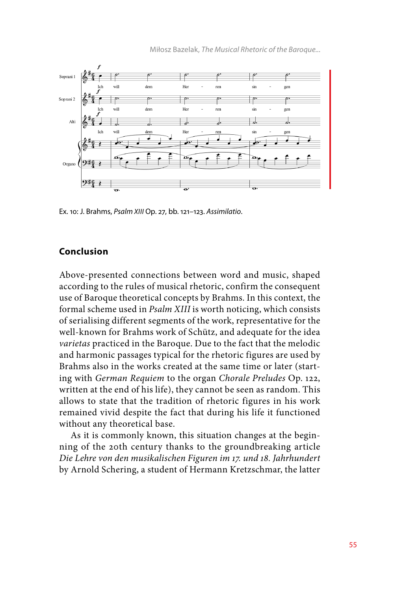

Ex. 10: J. Brahms, *Psalm XIII* Op. 27, bb. 121–123. *Assimilatio*.

### **Conclusion**

Above-presented connections between word and music, shaped according to the rules of musical rhetoric, confirm the consequent use of Baroque theoretical concepts by Brahms. In this context, the formal scheme used in *Psalm XIII* is worth noticing, which consists of serialising different segments of the work, representative for the well-known for Brahms work of Schütz, and adequate for the idea *varietas* practiced in the Baroque. Due to the fact that the melodic and harmonic passages typical for the rhetoric figures are used by Brahms also in the works created at the same time or later (starting with *German Requiem* to the organ *Chorale Preludes* Op. 122, written at the end of his life), they cannot be seen as random. This allows to state that the tradition of rhetoric figures in his work remained vivid despite the fact that during his life it functioned without any theoretical base.

As it is commonly known, this situation changes at the beginning of the 20th century thanks to the groundbreaking article *Die Lehre von den musikalischen Figuren im 17. und 18. Jahrhundert*  by Arnold Schering, a student of Hermann Kretzschmar, the latter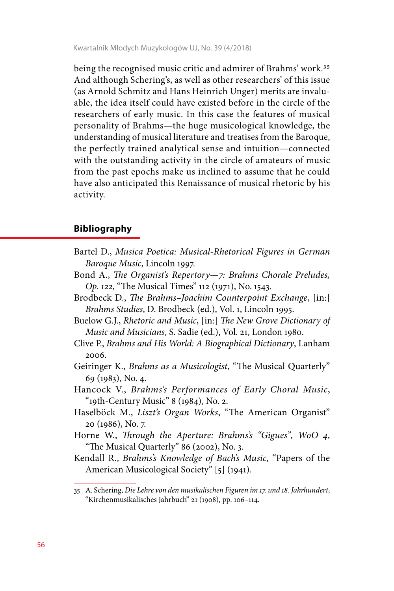Kwartalnik Młodych Muzykologów UJ, No. 39 (4/2018)

being the recognised music critic and admirer of Brahms' work.35 And although Schering's, as well as other researchers' of this issue (as Arnold Schmitz and Hans Heinrich Unger) merits are invaluable, the idea itself could have existed before in the circle of the researchers of early music. In this case the features of musical personality of Brahms—the huge musicological knowledge, the understanding of musical literature and treatises from the Baroque, the perfectly trained analytical sense and intuition—connected with the outstanding activity in the circle of amateurs of music from the past epochs make us inclined to assume that he could have also anticipated this Renaissance of musical rhetoric by his activity.

## **Bibliography**

- Bartel D., *Musica Poetica: Musical-Rhetorical Figures in German Baroque Music*, Lincoln 1997.
- Bond A., *The Organist's Repertory—7: Brahms Chorale Preludes, Op. 122*, "The Musical Times" 112 (1971), No. 1543.
- Brodbeck D., *The Brahms–Joachim Counterpoint Exchange*, [in:] *Brahms Studies*, D. Brodbeck (ed.), Vol. 1, Lincoln 1995.
- Buelow G.J., *Rhetoric and Music*, [in:] *The New Grove Dictionary of Music and Musicians*, S. Sadie (ed.), Vol. 21, London 1980.
- Clive P., *Brahms and His World: A Biographical Dictionary*, Lanham 2006.
- Geiringer K., *Brahms as a Musicologist*, "The Musical Quarterly" 69 (1983), No. 4.
- Hancock V., *Brahms's Performances of Early Choral Music*, "19th-Century Music" 8 (1984), No. 2.
- Haselböck M., *Liszt's Organ Works*, "The American Organist" 20 (1986), No. 7.
- Horne W., *Through the Aperture: Brahms's "Gigues", WoO 4*, "The Musical Quarterly" 86 (2002), No. 3.
- Kendall R., *Brahms's Knowledge of Bach's Music*, "Papers of the American Musicological Society" [5] (1941).

<sup>35</sup> A. Schering, *Die Lehre von den musikalischen Figuren im 17. und 18. Jahrhundert*, "Kirchenmusikalisches Jahrbuch" 21 (1908), pp. 106–114.